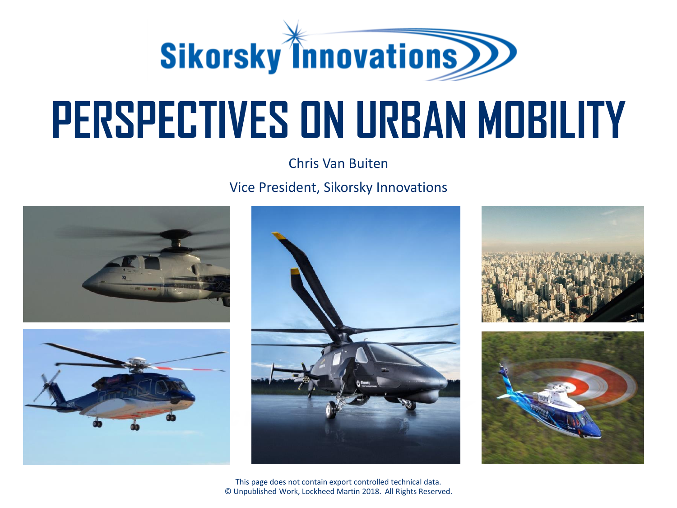

# **PERSPECTIVES ON URBAN MOBILITY**

Chris Van Buiten

Vice President, Sikorsky Innovations









This page does not contain export controlled technical data. © Unpublished Work, Lockheed Martin 2018. All Rights Reserved.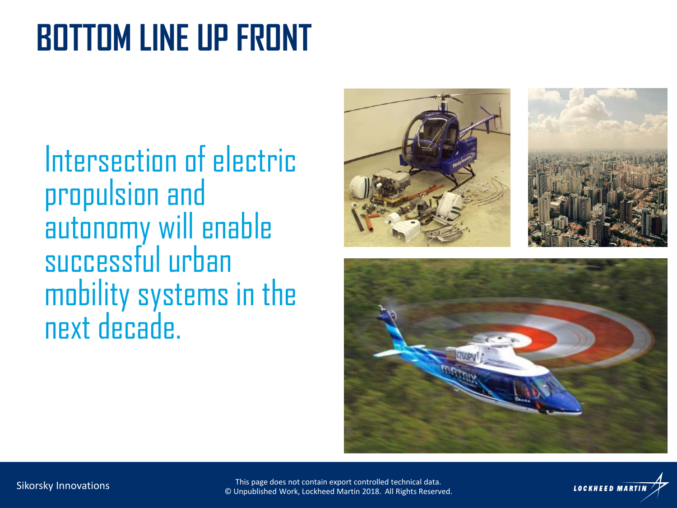### **BOTTOM LINE UP FRONT**

Intersection of electric propulsion and autonomy will enable successful urban mobility systems in the next decade.



Sikorsky Innovations This page does not contain export controlled technical data. © Unpublished Work, Lockheed Martin 2018. All Rights Reserved.

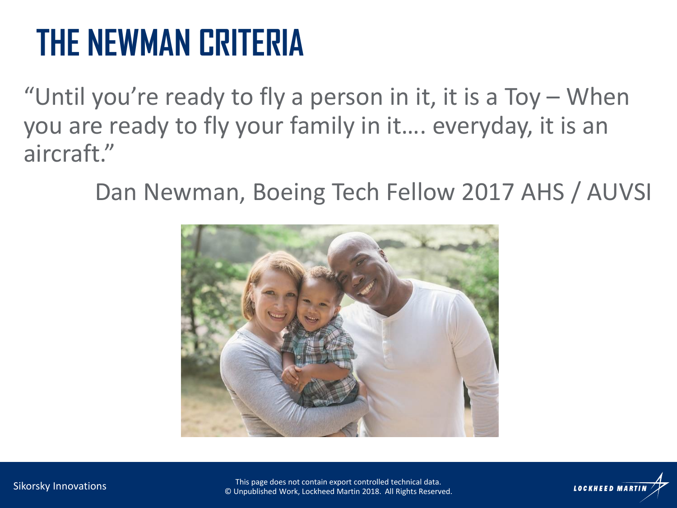### **THE NEWMAN CRITERIA**

"Until you're ready to fly a person in it, it is a Toy – When you are ready to fly your family in it…. everyday, it is an aircraft."

Dan Newman, Boeing Tech Fellow 2017 AHS / AUVSI





Sikorsky Innovations This page does not contain export controlled technical data. © Unpublished Work, Lockheed Martin 2018. All Rights Reserved.

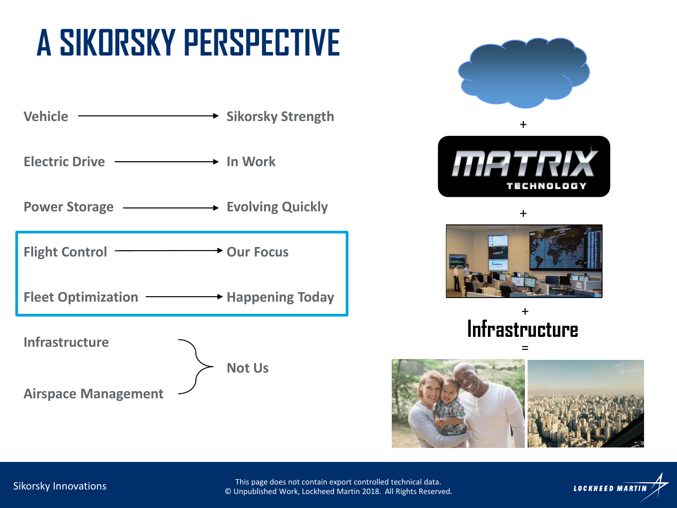## **A SIKORSKY PERSPECTIVE**













This page does not contain export controlled technical data. © Unpublished Work, Lockheed Martin 2018. All Rights Reserved.

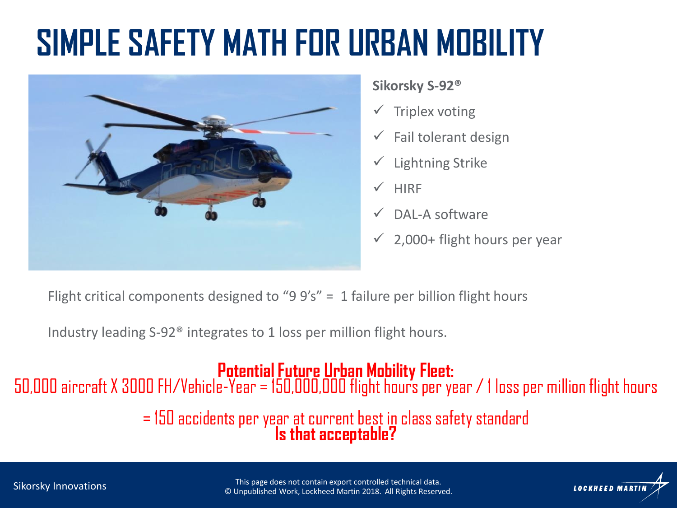### **SIMPLE SAFETY MATH FOR URBAN MOBILITY**



### **Sikorsky S-92®**

- $\checkmark$  Triplex voting
- $\checkmark$  Fail tolerant design
- $\checkmark$  Lightning Strike
- $\sqrt{\phantom{a}}$  HIRF
- DAL-A software
- $\checkmark$  2,000+ flight hours per year

Flight critical components designed to "9  $9's'' = 1$  failure per billion flight hours

Industry leading S-92® integrates to 1 loss per million flight hours.

### **Potential Future Urban Mobility Fleet:**

50,000 aircraft X 3000 FH/Vehicle-Year = 150,000,000 flight hours per year / 1 loss per million flight hours

= 150 accidents per year at current best in class safety standard **Is that acceptable?**

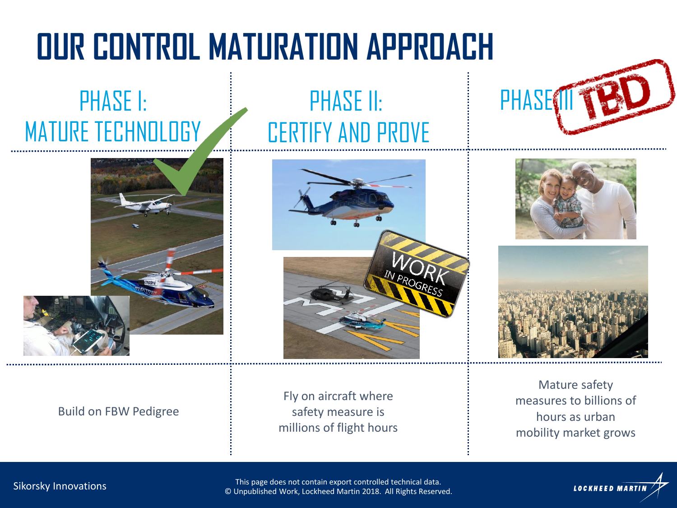## **OUR CONTROL MATURATION APPROACH**

### PHASE I: MATURE TECHNOLOGY



#### Build on FBW Pedigree

### PHASE II: CERTIFY AND PROVE



Fly on aircraft where safety measure is millions of flight hours







Mature safety measures to billions of hours as urban mobility market grows

Sikorsky Innovations

This page does not contain export controlled technical data. © Unpublished Work, Lockheed Martin 2018. All Rights Reserved.

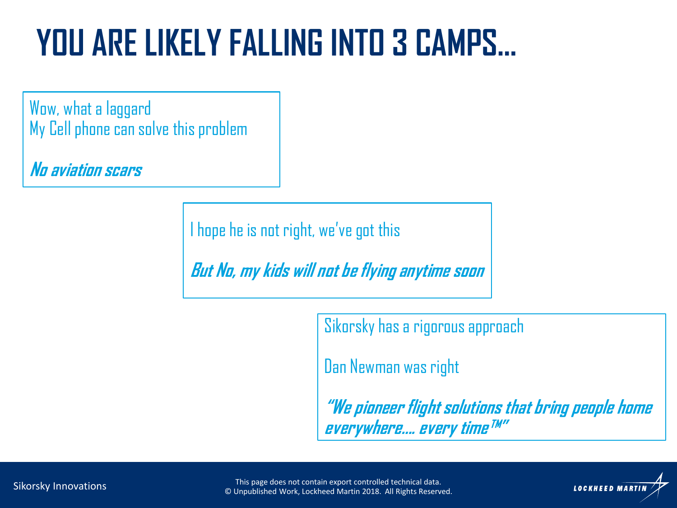### **YOU ARE LIKELY FALLING INTO 3 CAMPS…**

Wow, what a laggard My Cell phone can solve this problem

**No aviation scars**

I hope he is not right, we've got this

**But No, my kids will not be flying anytime soon**

Sikorsky has a rigorous approach

Dan Newman was right

**"We pioneer flight solutions that bring people home everywhere…. every time™"**